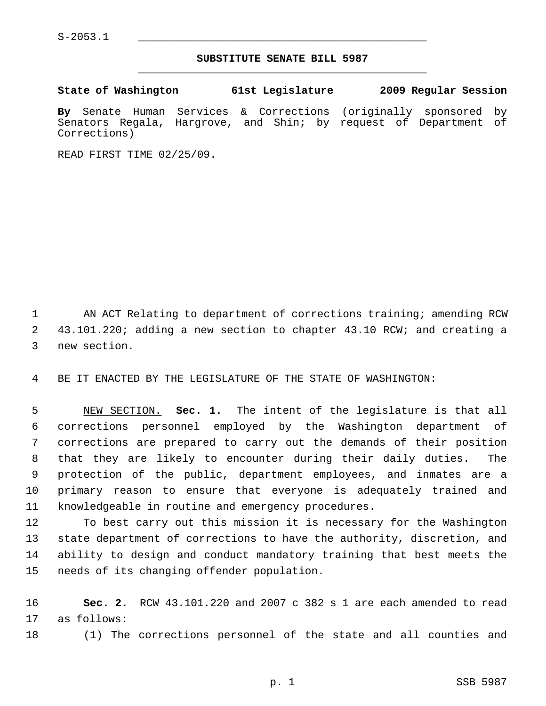## **SUBSTITUTE SENATE BILL 5987** \_\_\_\_\_\_\_\_\_\_\_\_\_\_\_\_\_\_\_\_\_\_\_\_\_\_\_\_\_\_\_\_\_\_\_\_\_\_\_\_\_\_\_\_\_

**State of Washington 61st Legislature 2009 Regular Session**

**By** Senate Human Services & Corrections (originally sponsored by Senators Regala, Hargrove, and Shin; by request of Department of Corrections)

READ FIRST TIME 02/25/09.

1 AN ACT Relating to department of corrections training; amending RCW 2 43.101.220; adding a new section to chapter 43.10 RCW; and creating a 3 new section.

4 BE IT ENACTED BY THE LEGISLATURE OF THE STATE OF WASHINGTON:

 5 NEW SECTION. **Sec. 1.** The intent of the legislature is that all 6 corrections personnel employed by the Washington department of 7 corrections are prepared to carry out the demands of their position 8 that they are likely to encounter during their daily duties. The 9 protection of the public, department employees, and inmates are a 10 primary reason to ensure that everyone is adequately trained and 11 knowledgeable in routine and emergency procedures.

12 To best carry out this mission it is necessary for the Washington 13 state department of corrections to have the authority, discretion, and 14 ability to design and conduct mandatory training that best meets the 15 needs of its changing offender population.

16 **Sec. 2.** RCW 43.101.220 and 2007 c 382 s 1 are each amended to read 17 as follows:

18 (1) The corrections personnel of the state and all counties and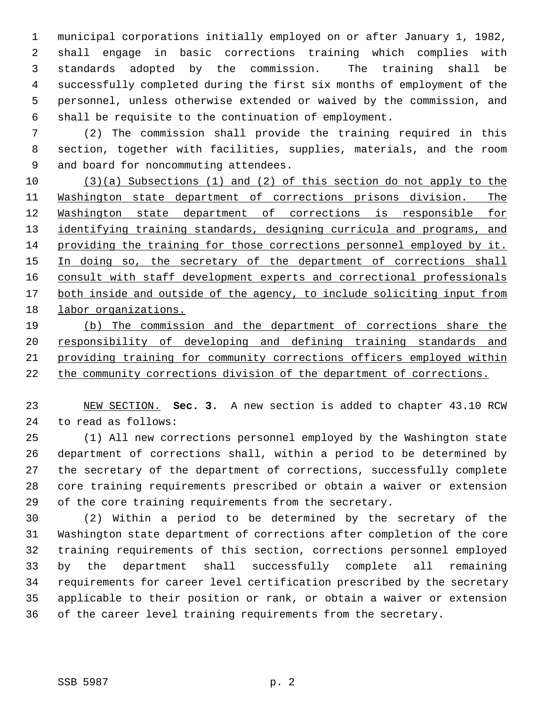1 municipal corporations initially employed on or after January 1, 1982, 2 shall engage in basic corrections training which complies with 3 standards adopted by the commission. The training shall be 4 successfully completed during the first six months of employment of the 5 personnel, unless otherwise extended or waived by the commission, and 6 shall be requisite to the continuation of employment.

 7 (2) The commission shall provide the training required in this 8 section, together with facilities, supplies, materials, and the room 9 and board for noncommuting attendees.

 (3)(a) Subsections (1) and (2) of this section do not apply to the Washington state department of corrections prisons division. The Washington state department of corrections is responsible for 13 identifying training standards, designing curricula and programs, and providing the training for those corrections personnel employed by it. 15 In doing so, the secretary of the department of corrections shall consult with staff development experts and correctional professionals both inside and outside of the agency, to include soliciting input from labor organizations.

 (b) The commission and the department of corrections share the responsibility of developing and defining training standards and providing training for community corrections officers employed within the community corrections division of the department of corrections.

23 NEW SECTION. **Sec. 3.** A new section is added to chapter 43.10 RCW 24 to read as follows:

25 (1) All new corrections personnel employed by the Washington state 26 department of corrections shall, within a period to be determined by 27 the secretary of the department of corrections, successfully complete 28 core training requirements prescribed or obtain a waiver or extension 29 of the core training requirements from the secretary.

30 (2) Within a period to be determined by the secretary of the 31 Washington state department of corrections after completion of the core 32 training requirements of this section, corrections personnel employed 33 by the department shall successfully complete all remaining 34 requirements for career level certification prescribed by the secretary 35 applicable to their position or rank, or obtain a waiver or extension 36 of the career level training requirements from the secretary.